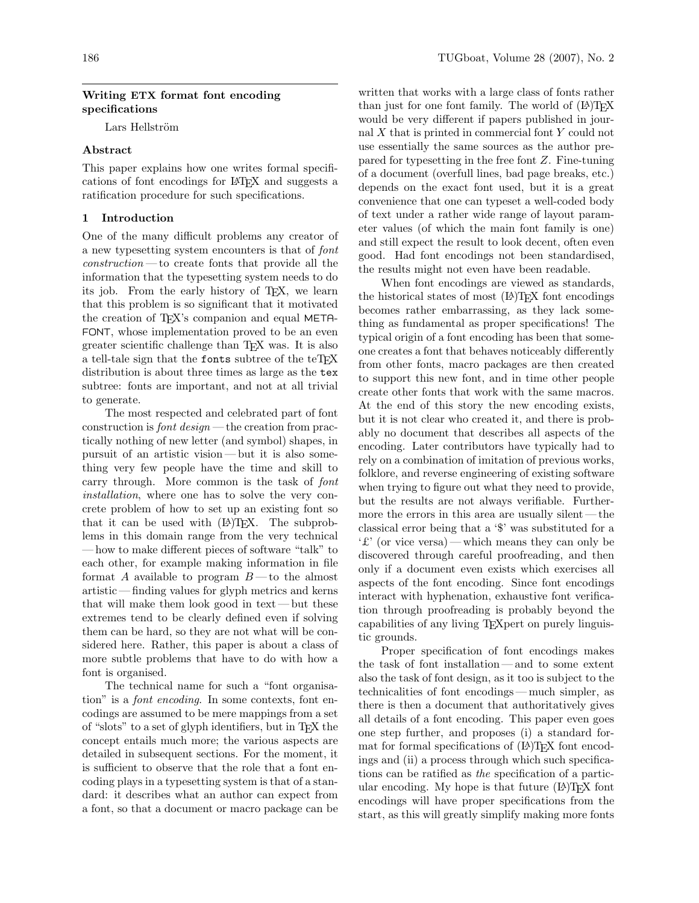# Writing ETX format font encoding specifications

Lars Hellström

# Abstract

This paper explains how one writes formal specifications of font encodings for LATEX and suggests a ratification procedure for such specifications.

# 1 Introduction

One of the many difficult problems any creator of a new typesetting system encounters is that of font construction — to create fonts that provide all the information that the typesetting system needs to do its job. From the early history of T<sub>E</sub>X, we learn that this problem is so significant that it motivated the creation of T<sub>EX</sub>'s companion and equal META-FONT, whose implementation proved to be an even greater scientific challenge than TEX was. It is also a tell-tale sign that the fonts subtree of the teTEX distribution is about three times as large as the tex subtree: fonts are important, and not at all trivial to generate.

The most respected and celebrated part of font construction is *font design* — the creation from practically nothing of new letter (and symbol) shapes, in pursuit of an artistic vision — but it is also something very few people have the time and skill to carry through. More common is the task of font installation, where one has to solve the very concrete problem of how to set up an existing font so that it can be used with  $(E)$ T<sub>F</sub>X. The subproblems in this domain range from the very technical — how to make different pieces of software "talk" to each other, for example making information in file format A available to program  $B$ —to the almost artistic — finding values for glyph metrics and kerns that will make them look good in text — but these extremes tend to be clearly defined even if solving them can be hard, so they are not what will be considered here. Rather, this paper is about a class of more subtle problems that have to do with how a font is organised.

The technical name for such a "font organisation" is a font encoding. In some contexts, font encodings are assumed to be mere mappings from a set of "slots" to a set of glyph identifiers, but in TEX the concept entails much more; the various aspects are detailed in subsequent sections. For the moment, it is sufficient to observe that the role that a font encoding plays in a typesetting system is that of a standard: it describes what an author can expect from a font, so that a document or macro package can be written that works with a large class of fonts rather than just for one font family. The world of  $(E)$ TEX would be very different if papers published in journal X that is printed in commercial font Y could not use essentially the same sources as the author prepared for typesetting in the free font Z. Fine-tuning of a document (overfull lines, bad page breaks, etc.) depends on the exact font used, but it is a great convenience that one can typeset a well-coded body of text under a rather wide range of layout parameter values (of which the main font family is one) and still expect the result to look decent, often even good. Had font encodings not been standardised, the results might not even have been readable.

When font encodings are viewed as standards, the historical states of most (LA)TEX font encodings becomes rather embarrassing, as they lack something as fundamental as proper specifications! The typical origin of a font encoding has been that someone creates a font that behaves noticeably differently from other fonts, macro packages are then created to support this new font, and in time other people create other fonts that work with the same macros. At the end of this story the new encoding exists, but it is not clear who created it, and there is probably no document that describes all aspects of the encoding. Later contributors have typically had to rely on a combination of imitation of previous works, folklore, and reverse engineering of existing software when trying to figure out what they need to provide, but the results are not always verifiable. Furthermore the errors in this area are usually silent — the classical error being that a '\$' was substituted for a '£' (or vice versa)— which means they can only be discovered through careful proofreading, and then only if a document even exists which exercises all aspects of the font encoding. Since font encodings interact with hyphenation, exhaustive font verification through proofreading is probably beyond the capabilities of any living TEXpert on purely linguistic grounds.

Proper specification of font encodings makes the task of font installation — and to some extent also the task of font design, as it too is subject to the technicalities of font encodings — much simpler, as there is then a document that authoritatively gives all details of a font encoding. This paper even goes one step further, and proposes (i) a standard format for formal specifications of  $(L)$ TEX font encodings and (ii) a process through which such specifications can be ratified as the specification of a particular encoding. My hope is that future  $(E)$ T<sub>F</sub>X font encodings will have proper specifications from the start, as this will greatly simplify making more fonts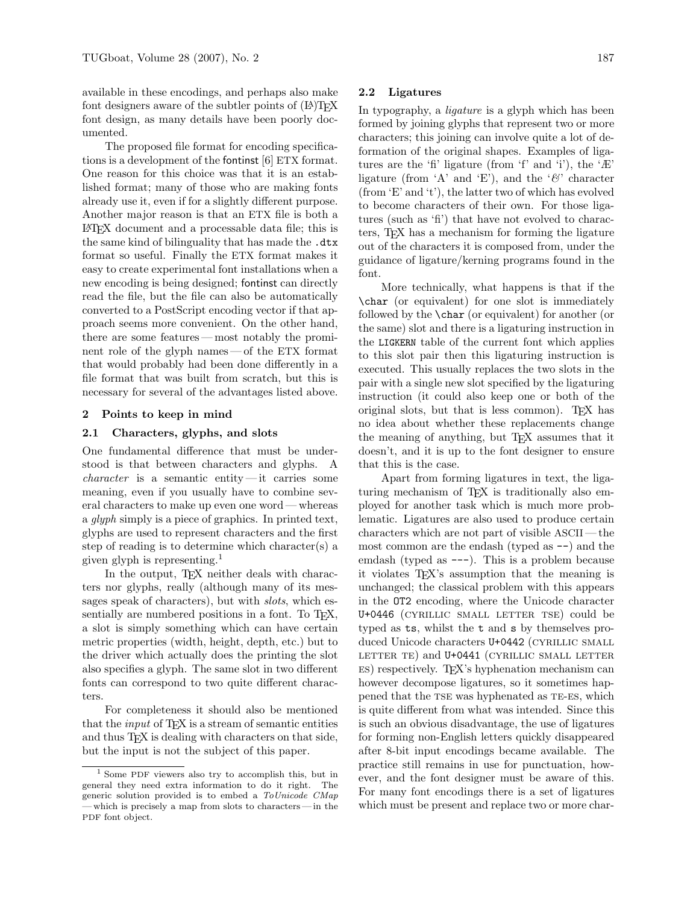available in these encodings, and perhaps also make font designers aware of the subtler points of  $(L<sup>A</sup>)$ T<sub>E</sub>X font design, as many details have been poorly documented.

The proposed file format for encoding specifications is a development of the fontinst [6] ETX format. One reason for this choice was that it is an established format; many of those who are making fonts already use it, even if for a slightly different purpose. Another major reason is that an ETX file is both a LATEX document and a processable data file; this is the same kind of bilinguality that has made the .dtx format so useful. Finally the ETX format makes it easy to create experimental font installations when a new encoding is being designed; fontinst can directly read the file, but the file can also be automatically converted to a PostScript encoding vector if that approach seems more convenient. On the other hand, there are some features — most notably the prominent role of the glyph names — of the ETX format that would probably had been done differently in a file format that was built from scratch, but this is necessary for several of the advantages listed above.

## 2 Points to keep in mind

# 2.1 Characters, glyphs, and slots

One fundamental difference that must be understood is that between characters and glyphs. A *character* is a semantic entity — it carries some meaning, even if you usually have to combine several characters to make up even one word — whereas a glyph simply is a piece of graphics. In printed text, glyphs are used to represent characters and the first step of reading is to determine which character(s) a given glyph is representing.<sup>1</sup>

In the output, T<sub>EX</sub> neither deals with characters nor glyphs, really (although many of its messages speak of characters), but with *slots*, which essentially are numbered positions in a font. To TFX, a slot is simply something which can have certain metric properties (width, height, depth, etc.) but to the driver which actually does the printing the slot also specifies a glyph. The same slot in two different fonts can correspond to two quite different characters.

For completeness it should also be mentioned that the *input* of  $T_{\text{F}}X$  is a stream of semantic entities and thus T<sub>F</sub>X is dealing with characters on that side, but the input is not the subject of this paper.

## 2.2 Ligatures

In typography, a *ligature* is a glyph which has been formed by joining glyphs that represent two or more characters; this joining can involve quite a lot of deformation of the original shapes. Examples of ligatures are the 'fi' ligature (from 'f' and 'i'), the 'Æ' ligature (from 'A' and 'E'), and the ' $\mathcal{C}'$  character (from 'E' and 't'), the latter two of which has evolved to become characters of their own. For those ligatures (such as 'fi') that have not evolved to characters, TEX has a mechanism for forming the ligature out of the characters it is composed from, under the guidance of ligature/kerning programs found in the font.

More technically, what happens is that if the \char (or equivalent) for one slot is immediately followed by the \char (or equivalent) for another (or the same) slot and there is a ligaturing instruction in the LIGKERN table of the current font which applies to this slot pair then this ligaturing instruction is executed. This usually replaces the two slots in the pair with a single new slot specified by the ligaturing instruction (it could also keep one or both of the original slots, but that is less common). TFX has no idea about whether these replacements change the meaning of anything, but TEX assumes that it doesn't, and it is up to the font designer to ensure that this is the case.

Apart from forming ligatures in text, the ligaturing mechanism of TEX is traditionally also employed for another task which is much more problematic. Ligatures are also used to produce certain characters which are not part of visible ASCII — the most common are the endash (typed as --) and the emdash (typed as ---). This is a problem because it violates TEX's assumption that the meaning is unchanged; the classical problem with this appears in the OT2 encoding, where the Unicode character U+0446 (cyrillic small letter tse) could be typed as ts, whilst the t and s by themselves produced Unicode characters U+0442 (CYRILLIC SMALL LETTER TE) and U+0441 (CYRILLIC SMALL LETTER es) respectively. TEX's hyphenation mechanism can however decompose ligatures, so it sometimes happened that the TSE was hyphenated as TE-ES, which is quite different from what was intended. Since this is such an obvious disadvantage, the use of ligatures for forming non-English letters quickly disappeared after 8-bit input encodings became available. The practice still remains in use for punctuation, however, and the font designer must be aware of this. For many font encodings there is a set of ligatures which must be present and replace two or more char-

<sup>1</sup> Some PDF viewers also try to accomplish this, but in general they need extra information to do it right. The generic solution provided is to embed a ToUnicode CMap — which is precisely a map from slots to characters — in the PDF font object.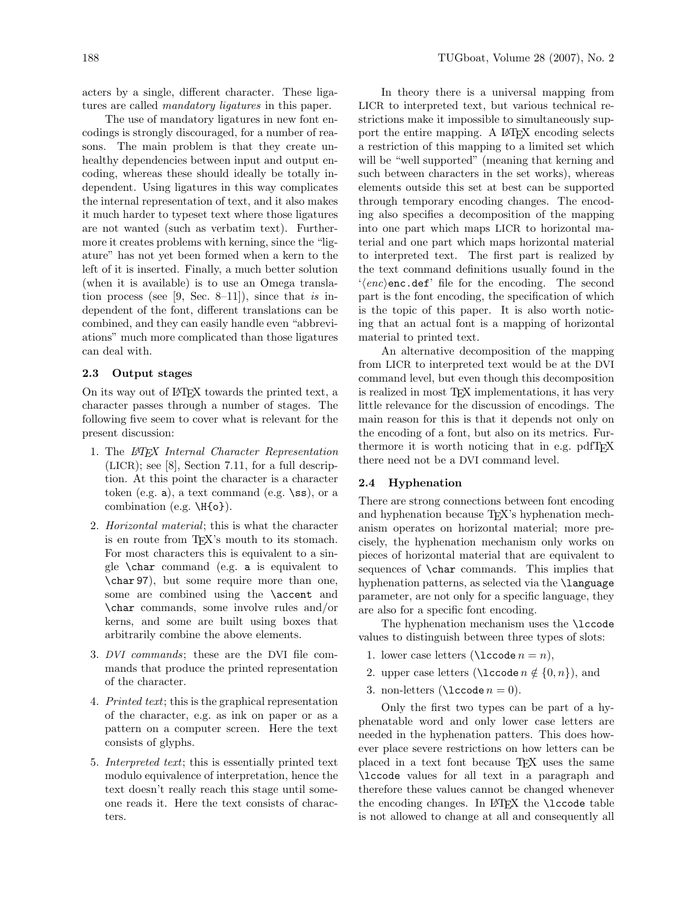acters by a single, different character. These ligatures are called mandatory ligatures in this paper.

The use of mandatory ligatures in new font encodings is strongly discouraged, for a number of reasons. The main problem is that they create unhealthy dependencies between input and output encoding, whereas these should ideally be totally independent. Using ligatures in this way complicates the internal representation of text, and it also makes it much harder to typeset text where those ligatures are not wanted (such as verbatim text). Furthermore it creates problems with kerning, since the "ligature" has not yet been formed when a kern to the left of it is inserted. Finally, a much better solution (when it is available) is to use an Omega translation process (see [9, Sec. 8–11]), since that is independent of the font, different translations can be combined, and they can easily handle even "abbreviations" much more complicated than those ligatures can deal with.

# 2.3 Output stages

On its way out of LATEX towards the printed text, a character passes through a number of stages. The following five seem to cover what is relevant for the present discussion:

- 1. The LATEX Internal Character Representation (LICR); see [8], Section 7.11, for a full description. At this point the character is a character token (e.g.  $a$ ), a text command (e.g.  $\succeq s$ ), or a combination (e.g. \H{o}).
- 2. Horizontal material; this is what the character is en route from TEX's mouth to its stomach. For most characters this is equivalent to a single \char command (e.g. a is equivalent to \char 97), but some require more than one, some are combined using the \accent and \char commands, some involve rules and/or kerns, and some are built using boxes that arbitrarily combine the above elements.
- 3. DVI commands; these are the DVI file commands that produce the printed representation of the character.
- 4. Printed text; this is the graphical representation of the character, e.g. as ink on paper or as a pattern on a computer screen. Here the text consists of glyphs.
- 5. Interpreted text; this is essentially printed text modulo equivalence of interpretation, hence the text doesn't really reach this stage until someone reads it. Here the text consists of characters.

In theory there is a universal mapping from LICR to interpreted text, but various technical restrictions make it impossible to simultaneously support the entire mapping. A L<sup>AT</sup>FX encoding selects a restriction of this mapping to a limited set which will be "well supported" (meaning that kerning and such between characters in the set works), whereas elements outside this set at best can be supported through temporary encoding changes. The encoding also specifies a decomposition of the mapping into one part which maps LICR to horizontal material and one part which maps horizontal material to interpreted text. The first part is realized by the text command definitions usually found in the  $\langle enc \rangle$ enc.def' file for the encoding. The second part is the font encoding, the specification of which is the topic of this paper. It is also worth noticing that an actual font is a mapping of horizontal material to printed text.

An alternative decomposition of the mapping from LICR to interpreted text would be at the DVI command level, but even though this decomposition is realized in most TEX implementations, it has very little relevance for the discussion of encodings. The main reason for this is that it depends not only on the encoding of a font, but also on its metrics. Furthermore it is worth noticing that in e.g. pdfTEX there need not be a DVI command level.

#### 2.4 Hyphenation

There are strong connections between font encoding and hyphenation because T<sub>E</sub>X's hyphenation mechanism operates on horizontal material; more precisely, the hyphenation mechanism only works on pieces of horizontal material that are equivalent to sequences of \char commands. This implies that hyphenation patterns, as selected via the **\language** parameter, are not only for a specific language, they are also for a specific font encoding.

The hyphenation mechanism uses the \lccode values to distinguish between three types of slots:

- 1. lower case letters ( $\lambda = n$ ),
- 2. upper case letters ( $\lambda$ code  $n \notin \{0, n\}$ ), and
- 3. non-letters ( $\lambda = 0$ ).

Only the first two types can be part of a hyphenatable word and only lower case letters are needed in the hyphenation patters. This does however place severe restrictions on how letters can be placed in a text font because TEX uses the same \lccode values for all text in a paragraph and therefore these values cannot be changed whenever the encoding changes. In  $\text{LFT}X$  the **\lccode** table is not allowed to change at all and consequently all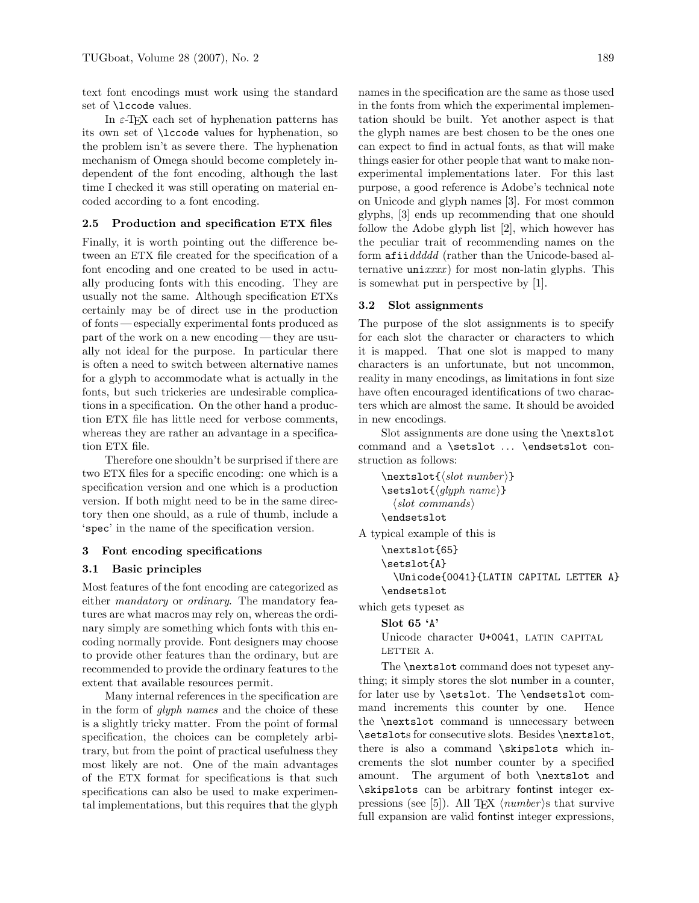text font encodings must work using the standard set of \lccode values.

In  $\varepsilon$ -TEX each set of hyphenation patterns has its own set of \lccode values for hyphenation, so the problem isn't as severe there. The hyphenation mechanism of Omega should become completely independent of the font encoding, although the last time I checked it was still operating on material encoded according to a font encoding.

## 2.5 Production and specification ETX files

Finally, it is worth pointing out the difference between an ETX file created for the specification of a font encoding and one created to be used in actually producing fonts with this encoding. They are usually not the same. Although specification ETXs certainly may be of direct use in the production of fonts — especially experimental fonts produced as part of the work on a new encoding — they are usually not ideal for the purpose. In particular there is often a need to switch between alternative names for a glyph to accommodate what is actually in the fonts, but such trickeries are undesirable complications in a specification. On the other hand a production ETX file has little need for verbose comments, whereas they are rather an advantage in a specification ETX file.

Therefore one shouldn't be surprised if there are two ETX files for a specific encoding: one which is a specification version and one which is a production version. If both might need to be in the same directory then one should, as a rule of thumb, include a 'spec' in the name of the specification version.

#### 3 Font encoding specifications

# 3.1 Basic principles

Most features of the font encoding are categorized as either mandatory or ordinary. The mandatory features are what macros may rely on, whereas the ordinary simply are something which fonts with this encoding normally provide. Font designers may choose to provide other features than the ordinary, but are recommended to provide the ordinary features to the extent that available resources permit.

Many internal references in the specification are in the form of glyph names and the choice of these is a slightly tricky matter. From the point of formal specification, the choices can be completely arbitrary, but from the point of practical usefulness they most likely are not. One of the main advantages of the ETX format for specifications is that such specifications can also be used to make experimental implementations, but this requires that the glyph

names in the specification are the same as those used in the fonts from which the experimental implementation should be built. Yet another aspect is that the glyph names are best chosen to be the ones one can expect to find in actual fonts, as that will make things easier for other people that want to make nonexperimental implementations later. For this last purpose, a good reference is Adobe's technical note on Unicode and glyph names [3]. For most common glyphs, [3] ends up recommending that one should follow the Adobe glyph list [2], which however has the peculiar trait of recommending names on the form afiiddddd (rather than the Unicode-based alternative  $\text{unit} x x x x$  for most non-latin glyphs. This is somewhat put in perspective by [1].

## 3.2 Slot assignments

The purpose of the slot assignments is to specify for each slot the character or characters to which it is mapped. That one slot is mapped to many characters is an unfortunate, but not uncommon, reality in many encodings, as limitations in font size have often encouraged identifications of two characters which are almost the same. It should be avoided in new encodings.

Slot assignments are done using the \nextslot command and a \setslot ... \endsetslot construction as follows:

```
\textsf{}(slot\ number)\setminussetslot\{qlyph \ name\}\langleslot commands\rangle\endsetslot
```
A typical example of this is

```
\nextslot{65}
\setslot{A}
  \Unicode{0041}{LATIN CAPITAL LETTER A}
\endsetslot
```
which gets typeset as

# Slot 65 'A'

Unicode character U+0041, LATIN CAPITAL LETTER A.

The **\nextslot** command does not typeset anything; it simply stores the slot number in a counter, for later use by \setslot. The \endsetslot command increments this counter by one. Hence the \nextslot command is unnecessary between \setslots for consecutive slots. Besides \nextslot, there is also a command \skipslots which increments the slot number counter by a specified amount. The argument of both \nextslot and \skipslots can be arbitrary fontinst integer expressions (see [5]). All T<sub>EX</sub>  $\langle number \rangle$ s that survive full expansion are valid fontinst integer expressions,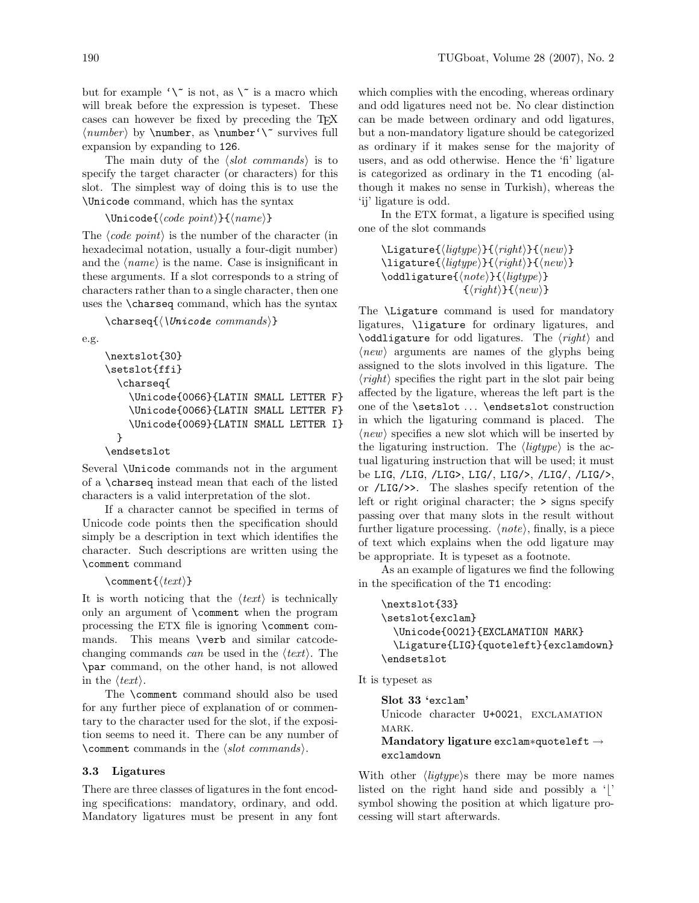but for example  $\wedge$  is not, as  $\wedge$  is a macro which will break before the expression is typeset. These cases can however be fixed by preceding the TEX  $\langle number \rangle$  by  $\number$ , as  $\number' \$  survives full expansion by expanding to 126.

The main duty of the  $\langle slot \; commands \rangle$  is to specify the target character (or characters) for this slot. The simplest way of doing this is to use the \Unicode command, which has the syntax

```
\Unicode{\langle code\ point\rangle}{\langle name\rangle}
```
The  $\langle code\ point\rangle$  is the number of the character (in hexadecimal notation, usually a four-digit number) and the  $\langle name \rangle$  is the name. Case is insignificant in these arguments. If a slot corresponds to a string of characters rather than to a single character, then one uses the \charseq command, which has the syntax

 $\{\langle \text{Unicode commands} \rangle\}$ 

e.g.

```
\nextslot{30}
\setslot{ffi}
  \charseq{
    \Unicode{0066}{LATIN SMALL LETTER F}
    \Unicode{0066}{LATIN SMALL LETTER F}
    \Unicode{0069}{LATIN SMALL LETTER I}
  }
```
## \endsetslot

Several \Unicode commands not in the argument of a \charseq instead mean that each of the listed characters is a valid interpretation of the slot.

If a character cannot be specified in terms of Unicode code points then the specification should simply be a description in text which identifies the character. Such descriptions are written using the \comment command

#### \comment $\{\langle text \rangle\}$

It is worth noticing that the  $\langle text \rangle$  is technically only an argument of \comment when the program processing the ETX file is ignoring \comment commands. This means \verb and similar catcodechanging commands can be used in the  $\langle text \rangle$ . The \par command, on the other hand, is not allowed in the  $\langle text \rangle$ .

The \comment command should also be used for any further piece of explanation of or commentary to the character used for the slot, if the exposition seems to need it. There can be any number of \comment commands in the  $\langle$ *slot commands* $\rangle$ .

# 3.3 Ligatures

There are three classes of ligatures in the font encoding specifications: mandatory, ordinary, and odd. Mandatory ligatures must be present in any font which complies with the encoding, whereas ordinary and odd ligatures need not be. No clear distinction can be made between ordinary and odd ligatures, but a non-mandatory ligature should be categorized as ordinary if it makes sense for the majority of users, and as odd otherwise. Hence the 'fi' ligature is categorized as ordinary in the T1 encoding (although it makes no sense in Turkish), whereas the 'ij' ligature is odd.

In the ETX format, a ligature is specified using one of the slot commands

```
\langleLigature{\langleligtype}}{\langleright}}{\langlenew}}
\left\langle{\left\langle{light}\right\rangle\right\rangle}\right\langle{\left\langle{right}\right\rangle}\right\}\odotddligature{\langle note \rangle}{\langle lightype \rangle}
                                   \{\langle right\rangle\}\{\langle new\rangle\}
```
The \Ligature command is used for mandatory ligatures, \ligature for ordinary ligatures, and \oddligature for odd ligatures. The  $\langle right \rangle$  and  $\langle new \rangle$  arguments are names of the glyphs being assigned to the slots involved in this ligature. The  $\langle right \rangle$  specifies the right part in the slot pair being affected by the ligature, whereas the left part is the one of the **\setslot** ... **\endsetslot** construction in which the ligaturing command is placed. The  $\langle new \rangle$  specifies a new slot which will be inserted by the ligaturing instruction. The  $\langle\text{lightype}\rangle$  is the actual ligaturing instruction that will be used; it must be LIG, /LIG, /LIG>, LIG/, LIG/>, /LIG/, /LIG/>, or /LIG/>>. The slashes specify retention of the left or right original character; the > signs specify passing over that many slots in the result without further ligature processing.  $\langle note \rangle$ , finally, is a piece of text which explains when the odd ligature may be appropriate. It is typeset as a footnote.

As an example of ligatures we find the following in the specification of the T1 encoding:

```
\nextslot{33}
\setslot{exclam}
  \Unicode{0021}{EXCLAMATION MARK}
 \Ligature{LIG}{quoteleft}{exclamdown}
\endsetslot
```
It is typeset as

Slot 33 'exclam' Unicode character U+0021, exclamation MARK. Mandatory ligature exclam∗quoteleft →

exclamdown

With other  $\langle\text{ligtype}\rangle$  there may be more names listed on the right hand side and possibly a  $\vert$ ' symbol showing the position at which ligature processing will start afterwards.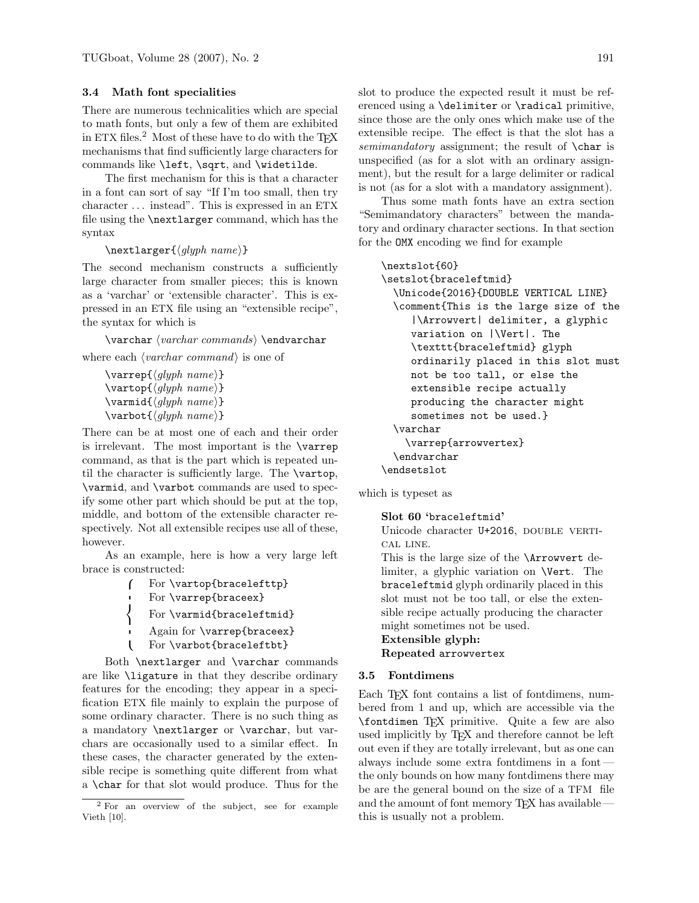# 3.4 Math font specialities

There are numerous technicalities which are special to math fonts, but only a few of them are exhibited in ETX files.<sup>2</sup> Most of these have to do with the T<sub>EX</sub> mechanisms that find sufficiently large characters for commands like \left, \sqrt, and \widetilde.

The first mechanism for this is that a character in a font can sort of say "If I'm too small, then try character . . . instead". This is expressed in an ETX file using the \nextlarger command, which has the syntax

```
\text{larger}\{\frac{glyph \ name}{\}
```
The second mechanism constructs a sufficiently large character from smaller pieces; this is known as a 'varchar' or 'extensible character'. This is expressed in an ETX file using an "extensible recipe", the syntax for which is

 $\varphi \ (varchar \ commands) \ \end{math}$ 

where each  $\langle \text{varchar command} \rangle$  is one of

```
\varphi\{\langle\mathit{glyph \ name}\rangle\}\vartheta_{glyph \ name}\vartheta_{glyph \ name}}
\varphi\
```
There can be at most one of each and their order is irrelevant. The most important is the \varrep command, as that is the part which is repeated until the character is sufficiently large. The \vartop, \varmid, and \varbot commands are used to specify some other part which should be put at the top, middle, and bottom of the extensible character respectively. Not all extensible recipes use all of these, however.

As an example, here is how a very large left brace is constructed:

- ſ For \vartop{bracelefttp}
- $\mathbf{r}$ For \varrep{braceex}

```
\mathsf{I}For \varmid{braceleftmid}
```
- Again for \varrep{braceex}
- $\mathbf{I}$ For \varbot{braceleftbt}

Both \nextlarger and \varchar commands are like \ligature in that they describe ordinary features for the encoding; they appear in a specification ETX file mainly to explain the purpose of some ordinary character. There is no such thing as a mandatory \nextlarger or \varchar, but varchars are occasionally used to a similar effect. In these cases, the character generated by the extensible recipe is something quite different from what a \char for that slot would produce. Thus for the slot to produce the expected result it must be referenced using a \delimiter or \radical primitive, since those are the only ones which make use of the extensible recipe. The effect is that the slot has a semimandatory assignment; the result of  $\char'$  char is unspecified (as for a slot with an ordinary assignment), but the result for a large delimiter or radical is not (as for a slot with a mandatory assignment).

Thus some math fonts have an extra section "Semimandatory characters" between the mandatory and ordinary character sections. In that section for the OMX encoding we find for example

```
\nextslot{60}
```
\setslot{braceleftmid} \Unicode{2016}{DOUBLE VERTICAL LINE} \comment{This is the large size of the |\Arrowvert| delimiter, a glyphic variation on |\Vert|. The \texttt{braceleftmid} glyph ordinarily placed in this slot must not be too tall, or else the extensible recipe actually producing the character might sometimes not be used.} \varchar \varrep{arrowvertex} \endvarchar \endsetslot

which is typeset as

#### Slot 60 'braceleftmid'

Unicode character U+2016, DOUBLE VERTIcal line.

This is the large size of the \Arrowvert delimiter, a glyphic variation on \Vert. The braceleftmid glyph ordinarily placed in this slot must not be too tall, or else the extensible recipe actually producing the character might sometimes not be used.

Extensible glyph:

Repeated arrowvertex

# 3.5 Fontdimens

Each T<sub>EX</sub> font contains a list of fontdimens, numbered from 1 and up, which are accessible via the \fontdimen TEX primitive. Quite a few are also used implicitly by TEX and therefore cannot be left out even if they are totally irrelevant, but as one can always include some extra fontdimens in a font the only bounds on how many fontdimens there may be are the general bound on the size of a TFM file and the amount of font memory  $T_FX$  has available this is usually not a problem.

<sup>2</sup> For an overview of the subject, see for example Vieth [10].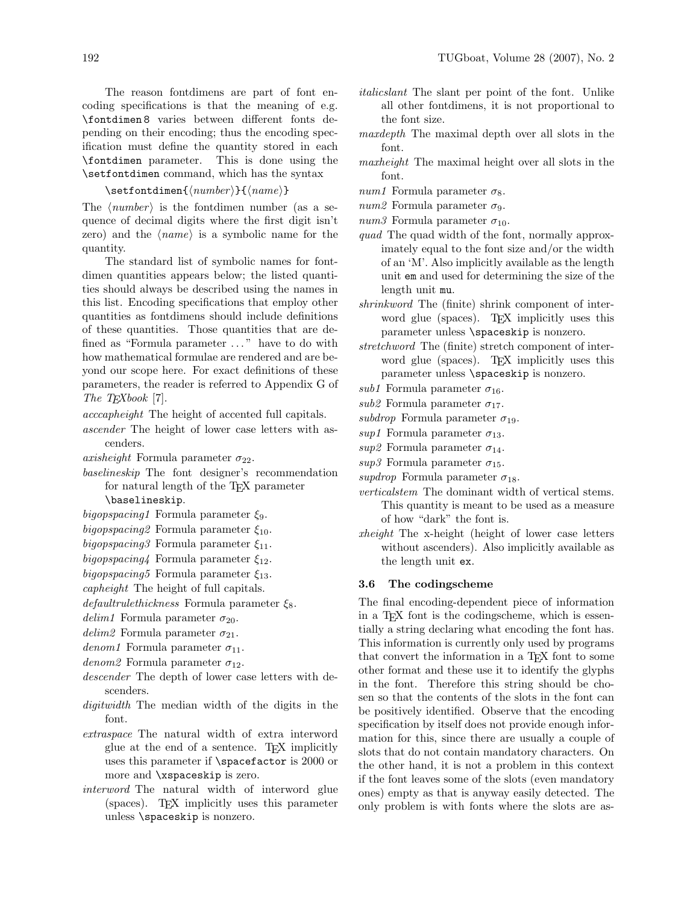The reason fontdimens are part of font encoding specifications is that the meaning of e.g. \fontdimen 8 varies between different fonts depending on their encoding; thus the encoding specification must define the quantity stored in each \fontdimen parameter. This is done using the \setfontdimen command, which has the syntax

```
\setminussetfontdimen\{\langle number \rangle\}\{\langle name \rangle\}
```
The  $\langle number \rangle$  is the fontdimen number (as a sequence of decimal digits where the first digit isn't zero) and the  $\langle name \rangle$  is a symbolic name for the quantity.

The standard list of symbolic names for fontdimen quantities appears below; the listed quantities should always be described using the names in this list. Encoding specifications that employ other quantities as fontdimens should include definitions of these quantities. Those quantities that are defined as "Formula parameter . . . " have to do with how mathematical formulae are rendered and are beyond our scope here. For exact definitions of these parameters, the reader is referred to Appendix G of The T<sub>E</sub>Xbook [7].

acccapheight The height of accented full capitals.

- ascender The height of lower case letters with ascenders.
- axisheight Formula parameter  $\sigma_{22}$ .
- baselineskip The font designer's recommendation for natural length of the TEX parameter

\baselineskip.

- bigopspacing1 Formula parameter  $\xi_9$ .
- bigopspacing 2 Formula parameter  $\xi_{10}$ .
- bigopspacing3 Formula parameter  $\xi_{11}$ .
- bigopspacing4 Formula parameter  $\xi_{12}$ .
- bigopspacing5 Formula parameter  $\xi_{13}$ .
- capheight The height of full capitals.
- $default rule thickness$  Formula parameter  $\xi_8$ .
- delim1 Formula parameter  $\sigma_{20}$ .
- delim2 Formula parameter  $\sigma_{21}$ .
- denom1 Formula parameter  $\sigma_{11}$ .
- denom2 Formula parameter  $\sigma_{12}$ .
- descender The depth of lower case letters with descenders.
- digitwidth The median width of the digits in the font.
- extraspace The natural width of extra interword glue at the end of a sentence. TEX implicitly uses this parameter if \spacefactor is 2000 or more and \xspaceskip is zero.
- interword The natural width of interword glue (spaces). TEX implicitly uses this parameter unless \spaceskip is nonzero.
- italicslant The slant per point of the font. Unlike all other fontdimens, it is not proportional to the font size.
- maxdepth The maximal depth over all slots in the font.
- maxheight The maximal height over all slots in the font.
- num1 Formula parameter  $\sigma_8$ .
- num2 Formula parameter  $\sigma_9$ .
- num3 Formula parameter  $\sigma_{10}$ .
- quad The quad width of the font, normally approximately equal to the font size and/or the width of an 'M'. Also implicitly available as the length unit em and used for determining the size of the length unit mu.
- shrinkword The (finite) shrink component of interword glue (spaces). TFX implicitly uses this parameter unless **\spaceskip** is nonzero.
- stretchword The (finite) stretch component of interword glue (spaces). TFX implicitly uses this parameter unless \spaceskip is nonzero.
- sub1 Formula parameter  $\sigma_{16}$ .
- sub2 Formula parameter  $\sigma_{17}$ .
- subdrop Formula parameter  $\sigma_{19}$ .
- sup1 Formula parameter  $\sigma_{13}$ .
- sup2 Formula parameter  $\sigma_{14}$ .
- sup3 Formula parameter  $\sigma_{15}$ .
- supdrop Formula parameter  $\sigma_{18}$ .
- verticalstem The dominant width of vertical stems. This quantity is meant to be used as a measure of how "dark" the font is.
- xheight The x-height (height of lower case letters without ascenders). Also implicitly available as the length unit ex.

# 3.6 The codingscheme

The final encoding-dependent piece of information in a TEX font is the codingscheme, which is essentially a string declaring what encoding the font has. This information is currently only used by programs that convert the information in a T<sub>E</sub>X font to some other format and these use it to identify the glyphs in the font. Therefore this string should be chosen so that the contents of the slots in the font can be positively identified. Observe that the encoding specification by itself does not provide enough information for this, since there are usually a couple of slots that do not contain mandatory characters. On the other hand, it is not a problem in this context if the font leaves some of the slots (even mandatory ones) empty as that is anyway easily detected. The only problem is with fonts where the slots are as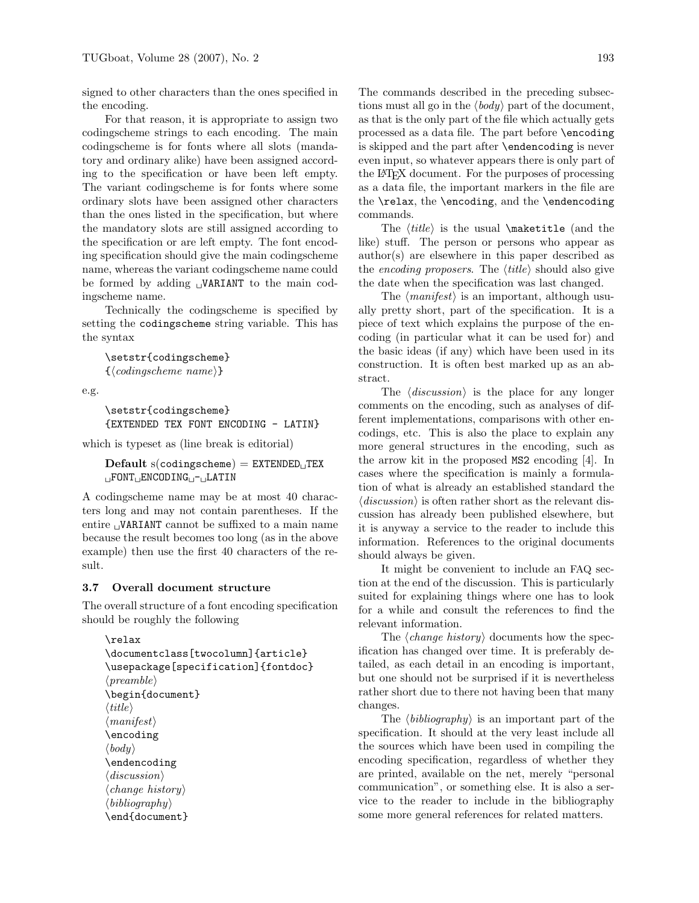signed to other characters than the ones specified in the encoding.

For that reason, it is appropriate to assign two codingscheme strings to each encoding. The main codingscheme is for fonts where all slots (mandatory and ordinary alike) have been assigned according to the specification or have been left empty. The variant codingscheme is for fonts where some ordinary slots have been assigned other characters than the ones listed in the specification, but where the mandatory slots are still assigned according to the specification or are left empty. The font encoding specification should give the main codingscheme name, whereas the variant codingscheme name could be formed by adding  $\cup$ VARIANT to the main codingscheme name.

Technically the codingscheme is specified by setting the codingscheme string variable. This has the syntax

\setstr{codingscheme}  $\{\langle codingscheme \ name \rangle\}$ 

e.g.

```
\setstr{codingscheme}
{EXTENDED TEX FONT ENCODING - LATIN}
```
which is typeset as (line break is editorial)

 $\text{Default s}(\text{codingscheme}) = \text{EXTENDED_UTEX}$  $L$ FONT $L$ ENCODING $L$ - $L$ ATIN

A codingscheme name may be at most 40 characters long and may not contain parentheses. If the entire  $\cup$ VARIANT cannot be suffixed to a main name because the result becomes too long (as in the above example) then use the first 40 characters of the result.

# 3.7 Overall document structure

The overall structure of a font encoding specification should be roughly the following

```
\relax
\documentclass[twocolumn]{article}
\usepackage[specification]{fontdoc}
\langle \text{preamble} \rangle\begin{document}
\langle title \rangle\langle manifest\rangle\encoding
\langle body \rangle\endencoding
\langle discussion\rangle\langle change\ history\rangle\langle bibliography\rangle\end{document}
```
The commands described in the preceding subsections must all go in the  $\langle body \rangle$  part of the document, as that is the only part of the file which actually gets processed as a data file. The part before \encoding is skipped and the part after \endencoding is never even input, so whatever appears there is only part of the LATEX document. For the purposes of processing as a data file, the important markers in the file are the \relax, the \encoding, and the \endencoding commands.

The  $\langle title \rangle$  is the usual  $\mathcal{I}$  and the like) stuff. The person or persons who appear as author(s) are elsewhere in this paper described as the encoding proposers. The  $\langle title \rangle$  should also give the date when the specification was last changed.

The  $\langle manifest\rangle$  is an important, although usually pretty short, part of the specification. It is a piece of text which explains the purpose of the encoding (in particular what it can be used for) and the basic ideas (if any) which have been used in its construction. It is often best marked up as an abstract.

The  $\langle discussion \rangle$  is the place for any longer comments on the encoding, such as analyses of different implementations, comparisons with other encodings, etc. This is also the place to explain any more general structures in the encoding, such as the arrow kit in the proposed MS2 encoding [4]. In cases where the specification is mainly a formulation of what is already an established standard the  $\langle discussion \rangle$  is often rather short as the relevant discussion has already been published elsewhere, but it is anyway a service to the reader to include this information. References to the original documents should always be given.

It might be convenient to include an FAQ section at the end of the discussion. This is particularly suited for explaining things where one has to look for a while and consult the references to find the relevant information.

The  $\langle change\ history\rangle$  documents how the specification has changed over time. It is preferably detailed, as each detail in an encoding is important, but one should not be surprised if it is nevertheless rather short due to there not having been that many changes.

The  $\langle bibliography\rangle$  is an important part of the specification. It should at the very least include all the sources which have been used in compiling the encoding specification, regardless of whether they are printed, available on the net, merely "personal communication", or something else. It is also a service to the reader to include in the bibliography some more general references for related matters.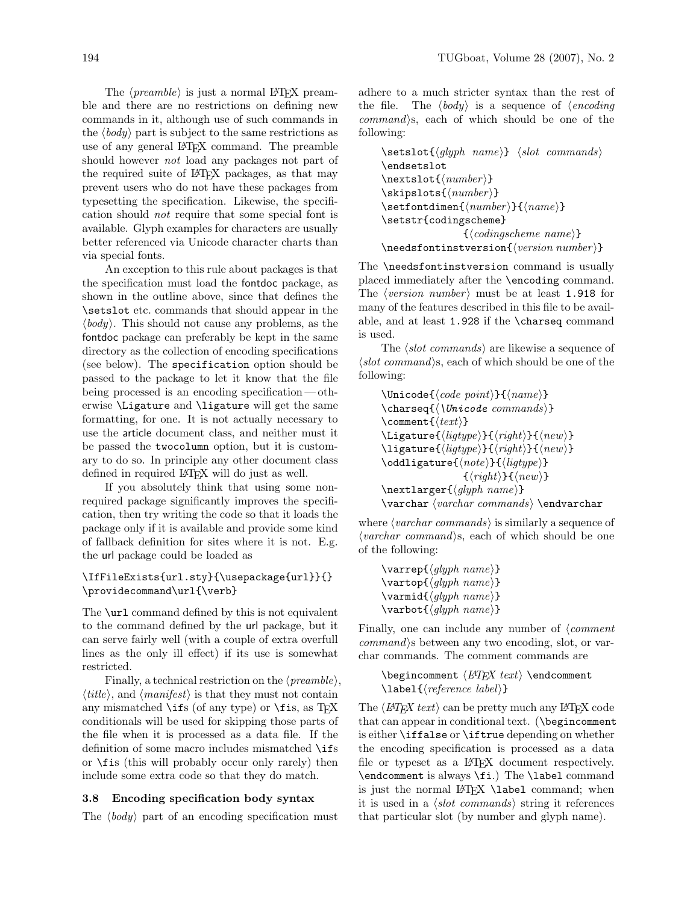The  $\langle \text{preamble} \rangle$  is just a normal LAT<sub>EX</sub> preamble and there are no restrictions on defining new commands in it, although use of such commands in the  $\langle body \rangle$  part is subject to the same restrictions as use of any general LATEX command. The preamble should however not load any packages not part of the required suite of LATEX packages, as that may prevent users who do not have these packages from typesetting the specification. Likewise, the specification should not require that some special font is available. Glyph examples for characters are usually better referenced via Unicode character charts than via special fonts.

An exception to this rule about packages is that the specification must load the fontdoc package, as shown in the outline above, since that defines the \setslot etc. commands that should appear in the  $\langle body \rangle$ . This should not cause any problems, as the fontdoc package can preferably be kept in the same directory as the collection of encoding specifications (see below). The specification option should be passed to the package to let it know that the file being processed is an encoding specification— otherwise \Ligature and \ligature will get the same formatting, for one. It is not actually necessary to use the article document class, and neither must it be passed the twocolumn option, but it is customary to do so. In principle any other document class defined in required LATEX will do just as well.

If you absolutely think that using some nonrequired package significantly improves the specification, then try writing the code so that it loads the package only if it is available and provide some kind of fallback definition for sites where it is not. E.g. the url package could be loaded as

# \IfFileExists{url.sty}{\usepackage{url}}{} \providecommand\url{\verb}

The **\url** command defined by this is not equivalent to the command defined by the url package, but it can serve fairly well (with a couple of extra overfull lines as the only ill effect) if its use is somewhat restricted.

Finally, a technical restriction on the  $\langle \text{p}$ reamble $\rangle$ ,  $\langle title \rangle$ , and  $\langle manifest \rangle$  is that they must not contain any mismatched  $\iota$  ifs (of any type) or  $\iota$  is, as TEX conditionals will be used for skipping those parts of the file when it is processed as a data file. If the definition of some macro includes mismatched \ifs or \fis (this will probably occur only rarely) then include some extra code so that they do match.

# 3.8 Encoding specification body syntax

The  $\langle body \rangle$  part of an encoding specification must

adhere to a much stricter syntax than the rest of the file. The  $\langle body \rangle$  is a sequence of  $\langle encoding$  $command\$ s, each of which should be one of the following:

```
\setminussetslot\{\langle q|yph \name{\} \rangle\} \langle slot \ commands \rangle\endsetslot
\textsf{(number}}
\existsiskipslots{\langle number \rangle}
\setminussetfontdimen{\langle number \rangle}{\langle name \rangle}\setstr{codingscheme}
                       \{\langle codingscheme \ name \rangle\}\langleneedsfontinstversion{\langle version\ number \rangle}
```
The \needsfontinstversion command is usually placed immediately after the \encoding command. The *(version number)* must be at least 1.918 for many of the features described in this file to be available, and at least 1.928 if the \charseq command is used.

The  $\langle slot\ commands \rangle$  are likewise a sequence of  $\langle$ slot command $\rangle$ s, each of which should be one of the following:

```
\Unicode{\langle code\ point\rangle}{\langle name\rangle}\{\langle \text{Unicode commands} \rangle\}\text{Comment}\langleLigature{\langleligtype}}{\langleright}}{\langlenew}}
\ligature{\langle\text{light}\rangle}{\langle\text{new}\rangle}
\odotddligature{\langle note \rangle}{\langle lightype \rangle}
                        \{\langle right\rangle\}\{\langle new\rangle\}\text{larger}\{\langle glyph \ name\rangle\}\varphi \ (varchar \ commands) \ \end{math}
```
where  $\langle \text{varchar commands} \rangle$  is similarly a sequence of  $\langle \text{varchar command} \rangle$ s, each of which should be one of the following:

| $\varphi\$ /varrep $\{\langle glyph \ name \rangle\}$   |  |
|---------------------------------------------------------|--|
| $\text{vartop}\{\langle glyph \ name\rangle\}$          |  |
| $\vartheta\$ /varmid $\{\langle glyph \ name \rangle\}$ |  |
| $\text{Varbot}(\text{glyph name})$                      |  |

Finally, one can include any number of  $\mathcal{L}$  comment  $command\$ s between any two encoding, slot, or varchar commands. The comment commands are

```
\begincomment \langle H\rightarrow H\rightarrow \epsilon \endcomment
\lambdalabel\{\langle reference \ label\rangle\}
```
The  $\langle H\negthinspace T$   $\not\equiv$   $\langle H\negthinspace T$   $\not\equiv$   $\langle H\negthinspace T$   $\not\equiv$   $\langle H\negthinspace T$   $\not\equiv$   $\langle H\negthinspace T$   $\not\equiv$   $\langle H\negthinspace T$   $\not\equiv$   $\langle H\negthinspace T$   $\not\equiv$   $\langle H\negthinspace T$   $\not\equiv$   $\langle H\negthinspace T$   $\not\equiv$   $\langle H\negthinspace T$   $\not\equiv$   $\langle H\negthinspace T$   $\not\equiv$   $\langle H\negthinspace T\rangle$   $\langle H\neg$ that can appear in conditional text. (\begincomment is either \iffalse or \iftrue depending on whether the encoding specification is processed as a data file or typeset as a LAT<sub>F</sub>X document respectively. \endcomment is always \fi.) The \label command is just the normal LATEX **\label** command; when it is used in a  $\langle$ *slot commands* $\rangle$  string it references that particular slot (by number and glyph name).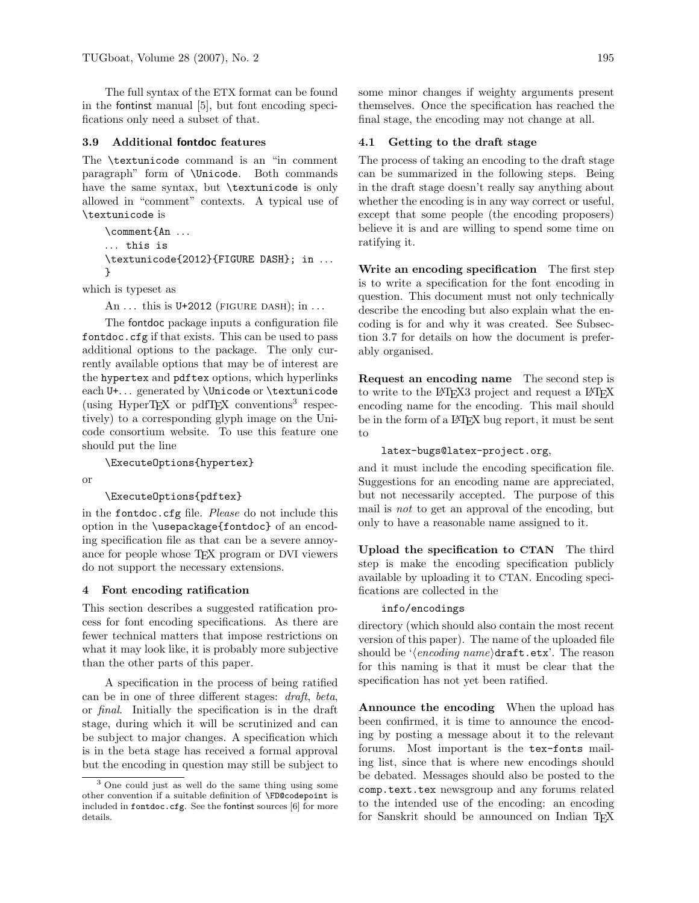The full syntax of the ETX format can be found in the fontinst manual [5], but font encoding specifications only need a subset of that.

#### 3.9 Additional fontdoc features

The \textunicode command is an "in comment paragraph" form of \Unicode. Both commands have the same syntax, but \textunicode is only allowed in "comment" contexts. A typical use of \textunicode is

```
\comment{An . . .
... this is
\textunicode{2012}{FIGURE DASH}; in . . .
}
```
which is typeset as

An  $\dots$  this is U+2012 (FIGURE DASH); in  $\dots$ 

The fontdoc package inputs a configuration file fontdoc.cfg if that exists. This can be used to pass additional options to the package. The only currently available options that may be of interest are the hypertex and pdftex options, which hyperlinks each U+... generated by *\*Unicode or *\textunicode* (using HyperTEX or pdfTEX conventions<sup>3</sup> respectively) to a corresponding glyph image on the Unicode consortium website. To use this feature one should put the line

\ExecuteOptions{hypertex}

or

#### \ExecuteOptions{pdftex}

in the fontdoc.cfg file. Please do not include this option in the \usepackage{fontdoc} of an encoding specification file as that can be a severe annoyance for people whose TEX program or DVI viewers do not support the necessary extensions.

## 4 Font encoding ratification

This section describes a suggested ratification process for font encoding specifications. As there are fewer technical matters that impose restrictions on what it may look like, it is probably more subjective than the other parts of this paper.

A specification in the process of being ratified can be in one of three different stages: draft, beta, or final. Initially the specification is in the draft stage, during which it will be scrutinized and can be subject to major changes. A specification which is in the beta stage has received a formal approval but the encoding in question may still be subject to some minor changes if weighty arguments present themselves. Once the specification has reached the final stage, the encoding may not change at all.

## 4.1 Getting to the draft stage

The process of taking an encoding to the draft stage can be summarized in the following steps. Being in the draft stage doesn't really say anything about whether the encoding is in any way correct or useful, except that some people (the encoding proposers) believe it is and are willing to spend some time on ratifying it.

Write an encoding specification The first step is to write a specification for the font encoding in question. This document must not only technically describe the encoding but also explain what the encoding is for and why it was created. See Subsection 3.7 for details on how the document is preferably organised.

Request an encoding name The second step is to write to the LAT<sub>EX3</sub> project and request a LAT<sub>EX</sub> encoding name for the encoding. This mail should be in the form of a LAT<sub>EX</sub> bug report, it must be sent to

#### latex-bugs@latex-project.org,

and it must include the encoding specification file. Suggestions for an encoding name are appreciated, but not necessarily accepted. The purpose of this mail is not to get an approval of the encoding, but only to have a reasonable name assigned to it.

Upload the specification to CTAN The third step is make the encoding specification publicly available by uploading it to CTAN. Encoding specifications are collected in the

# info/encodings

directory (which should also contain the most recent version of this paper). The name of the uploaded file should be ' $\langle encoding\ name \rangle$ draft.etx'. The reason for this naming is that it must be clear that the specification has not yet been ratified.

Announce the encoding When the upload has been confirmed, it is time to announce the encoding by posting a message about it to the relevant forums. Most important is the tex-fonts mailing list, since that is where new encodings should be debated. Messages should also be posted to the comp.text.tex newsgroup and any forums related to the intended use of the encoding: an encoding for Sanskrit should be announced on Indian TFX

<sup>3</sup> One could just as well do the same thing using some other convention if a suitable definition of \FD@codepoint is included in fontdoc.cfg. See the fontinst sources [6] for more details.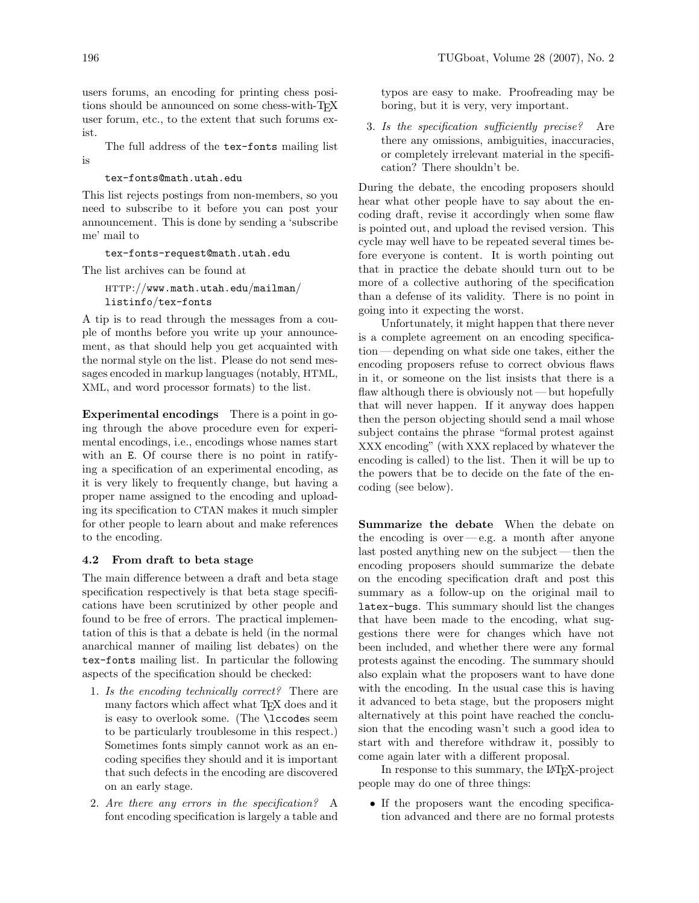users forums, an encoding for printing chess positions should be announced on some chess-with-TFX user forum, etc., to the extent that such forums exist.

The full address of the tex-fonts mailing list is

## tex-fonts@math.utah.edu

This list rejects postings from non-members, so you need to subscribe to it before you can post your announcement. This is done by sending a 'subscribe me' mail to

#### tex-fonts-request@math.utah.edu

The list archives can be found at

http://www.math.utah.edu/mailman/ listinfo/tex-fonts

A tip is to read through the messages from a couple of months before you write up your announcement, as that should help you get acquainted with the normal style on the list. Please do not send messages encoded in markup languages (notably, HTML, XML, and word processor formats) to the list.

Experimental encodings There is a point in going through the above procedure even for experimental encodings, i.e., encodings whose names start with an E. Of course there is no point in ratifying a specification of an experimental encoding, as it is very likely to frequently change, but having a proper name assigned to the encoding and uploading its specification to CTAN makes it much simpler for other people to learn about and make references to the encoding.

#### 4.2 From draft to beta stage

The main difference between a draft and beta stage specification respectively is that beta stage specifications have been scrutinized by other people and found to be free of errors. The practical implementation of this is that a debate is held (in the normal anarchical manner of mailing list debates) on the tex-fonts mailing list. In particular the following aspects of the specification should be checked:

- 1. Is the encoding technically correct? There are many factors which affect what TFX does and it is easy to overlook some. (The \lccodes seem to be particularly troublesome in this respect.) Sometimes fonts simply cannot work as an encoding specifies they should and it is important that such defects in the encoding are discovered on an early stage.
- 2. Are there any errors in the specification? A font encoding specification is largely a table and

typos are easy to make. Proofreading may be boring, but it is very, very important.

3. Is the specification sufficiently precise? Are there any omissions, ambiguities, inaccuracies, or completely irrelevant material in the specification? There shouldn't be.

During the debate, the encoding proposers should hear what other people have to say about the encoding draft, revise it accordingly when some flaw is pointed out, and upload the revised version. This cycle may well have to be repeated several times before everyone is content. It is worth pointing out that in practice the debate should turn out to be more of a collective authoring of the specification than a defense of its validity. There is no point in going into it expecting the worst.

Unfortunately, it might happen that there never is a complete agreement on an encoding specification — depending on what side one takes, either the encoding proposers refuse to correct obvious flaws in it, or someone on the list insists that there is a flaw although there is obviously not — but hopefully that will never happen. If it anyway does happen then the person objecting should send a mail whose subject contains the phrase "formal protest against XXX encoding" (with XXX replaced by whatever the encoding is called) to the list. Then it will be up to the powers that be to decide on the fate of the encoding (see below).

Summarize the debate When the debate on the encoding is over  $-e.g.$  a month after anyone last posted anything new on the subject — then the encoding proposers should summarize the debate on the encoding specification draft and post this summary as a follow-up on the original mail to latex-bugs. This summary should list the changes that have been made to the encoding, what suggestions there were for changes which have not been included, and whether there were any formal protests against the encoding. The summary should also explain what the proposers want to have done with the encoding. In the usual case this is having it advanced to beta stage, but the proposers might alternatively at this point have reached the conclusion that the encoding wasn't such a good idea to start with and therefore withdraw it, possibly to come again later with a different proposal.

In response to this summary, the LAT<sub>EX</sub>-project people may do one of three things:

• If the proposers want the encoding specification advanced and there are no formal protests